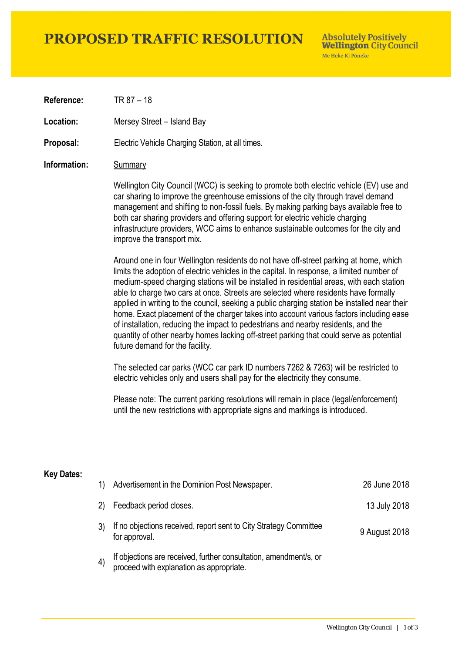# **PROPOSED TRAFFIC RESOLUTION**

**Absolutely Positively Wellington City Council** Me Heke Ki Pôneke

**Reference:** TR 87 – 18

Location: Mersey Street – Island Bay

**Proposal:** Electric Vehicle Charging Station, at all times.

### **Information:** Summary

Wellington City Council (WCC) is seeking to promote both electric vehicle (EV) use and car sharing to improve the greenhouse emissions of the city through travel demand management and shifting to non-fossil fuels. By making parking bays available free to both car sharing providers and offering support for electric vehicle charging infrastructure providers, WCC aims to enhance sustainable outcomes for the city and improve the transport mix.

Around one in four Wellington residents do not have off-street parking at home, which limits the adoption of electric vehicles in the capital. In response, a limited number of medium-speed charging stations will be installed in residential areas, with each station able to charge two cars at once. Streets are selected where residents have formally applied in writing to the council, seeking a public charging station be installed near their home. Exact placement of the charger takes into account various factors including ease of installation, reducing the impact to pedestrians and nearby residents, and the quantity of other nearby homes lacking off-street parking that could serve as potential future demand for the facility.

The selected car parks (WCC car park ID numbers 7262 & 7263) will be restricted to electric vehicles only and users shall pay for the electricity they consume.

Please note: The current parking resolutions will remain in place (legal/enforcement) until the new restrictions with appropriate signs and markings is introduced.

#### **Key Dates:**

| 1)                | Advertisement in the Dominion Post Newspaper.                                                                 | 26 June 2018  |
|-------------------|---------------------------------------------------------------------------------------------------------------|---------------|
| 2)                | Feedback period closes.                                                                                       | 13 July 2018  |
|                   | If no objections received, report sent to City Strategy Committee<br>for approval.                            | 9 August 2018 |
| $\left( 4\right)$ | If objections are received, further consultation, amendment/s, or<br>proceed with explanation as appropriate. |               |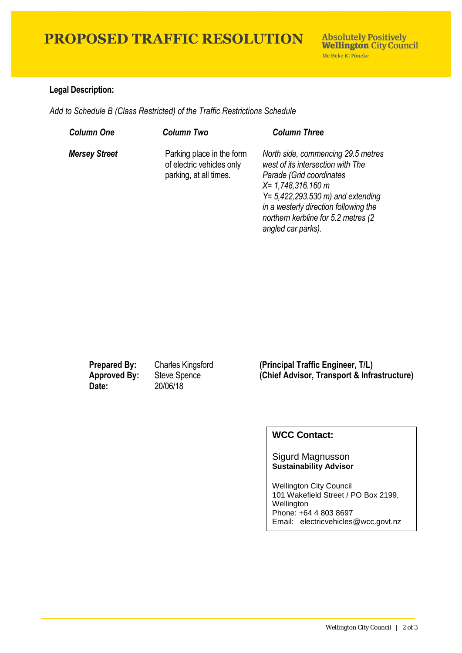# **PROPOSED TRAFFIC RESOLUTION**

## **Legal Description:**

*Add to Schedule B (Class Restricted) of the Traffic Restrictions Schedule* 

| <b>Column One</b>    | <b>Column Two</b>                                                                | <b>Column Three</b>                                                                                                                                                                                                                                                                |
|----------------------|----------------------------------------------------------------------------------|------------------------------------------------------------------------------------------------------------------------------------------------------------------------------------------------------------------------------------------------------------------------------------|
| <b>Mersey Street</b> | Parking place in the form<br>of electric vehicles only<br>parking, at all times. | North side, commencing 29.5 metres<br>west of its intersection with The<br>Parade (Grid coordinates<br>$X = 1,748,316.160$ m<br>$Y = 5,422,293.530 \text{ m}$ and extending<br>in a westerly direction following the<br>northern kerbline for 5.2 metres (2)<br>angled car parks). |

**Date:** 20/06/18

**Prepared By:** Charles Kingsford **(Principal Traffic Engineer, T/L) Approved By:** Steve Spence **(Chief Advisor, Transport & Infrastructure)**

## **WCC Contact:**

### Sigurd Magnusson **Sustainability Advisor**

Wellington City Council 101 Wakefield Street / PO Box 2199, Wellington Phone: +64 4 803 8697 Email: electricvehicles@wcc.govt.nz